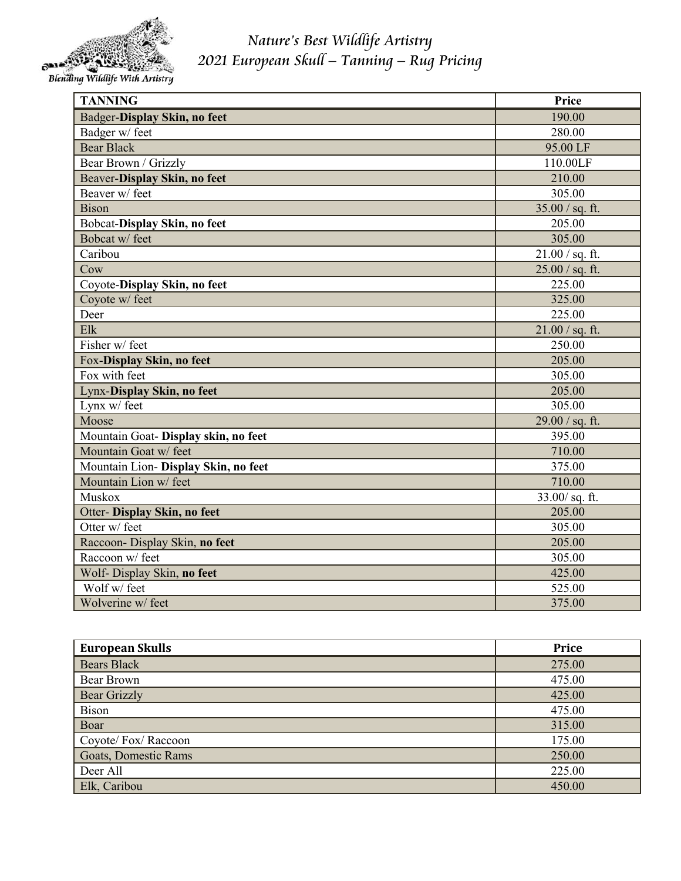

*Nature's Best Wildlife Artistry 2021 European Skull – Tanning – Rug Pricing*

Blending Wildlife With Artistry

| <b>TANNING</b>                       | Price             |
|--------------------------------------|-------------------|
| Badger-Display Skin, no feet         | 190.00            |
| Badger w/ feet                       | 280.00            |
| <b>Bear Black</b>                    | 95.00 LF          |
| Bear Brown / Grizzly                 | 110.00LF          |
| Beaver-Display Skin, no feet         | 210.00            |
| Beaver w/ feet                       | 305.00            |
| <b>Bison</b>                         | $35.00 / sq.$ ft. |
| Bobcat-Display Skin, no feet         | 205.00            |
| Bobcat w/feet                        | 305.00            |
| Caribou                              | $21.00 / sq.$ ft. |
| Cow                                  | $25.00 / sq.$ ft. |
| Coyote-Display Skin, no feet         | 225.00            |
| Coyote w/ feet                       | 325.00            |
| Deer                                 | 225.00            |
| Elk                                  | $21.00 / sq.$ ft. |
| Fisher w/feet                        | 250.00            |
| Fox-Display Skin, no feet            | 205.00            |
| Fox with feet                        | 305.00            |
| Lynx-Display Skin, no feet           | 205.00            |
| Lynx w/ feet                         | 305.00            |
| Moose                                | $29.00 / sq.$ ft. |
| Mountain Goat- Display skin, no feet | 395.00            |
| Mountain Goat w/feet                 | 710.00            |
| Mountain Lion- Display Skin, no feet | 375.00            |
| Mountain Lion w/ feet                | 710.00            |
| Muskox                               | $33.00 / sq.$ ft. |
| Otter- Display Skin, no feet         | 205.00            |
| Otter w/ feet                        | 305.00            |
| Raccoon- Display Skin, no feet       | 205.00            |
| Raccoon w/ feet                      | 305.00            |
| Wolf- Display Skin, no feet          | 425.00            |
| Wolf w/feet                          | 525.00            |
| Wolverine w/feet                     | 375.00            |

| <b>European Skulls</b> | Price  |
|------------------------|--------|
| <b>Bears Black</b>     | 275.00 |
| Bear Brown             | 475.00 |
| <b>Bear Grizzly</b>    | 425.00 |
| <b>Bison</b>           | 475.00 |
| Boar                   | 315.00 |
| Coyote/ Fox/ Raccoon   | 175.00 |
| Goats, Domestic Rams   | 250.00 |
| Deer All               | 225.00 |
| Elk, Caribou           | 450.00 |